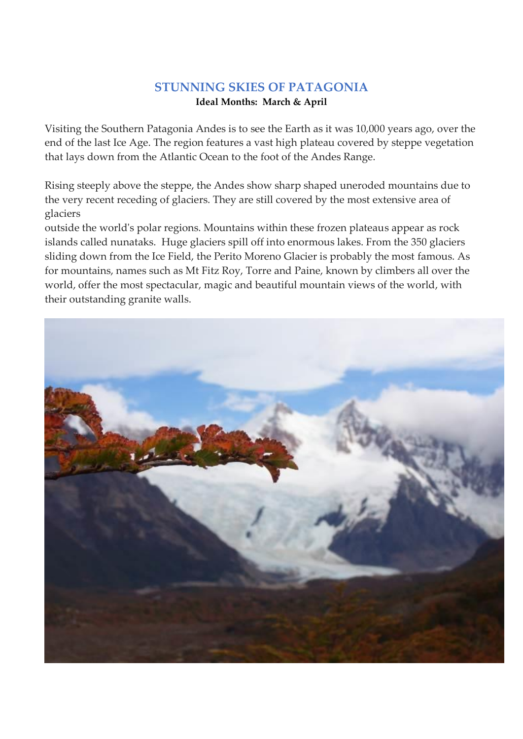## **STUNNING SKIES OF PATAGONIA**

## **Ideal Months: March & April**

Visiting the Southern Patagonia Andes is to see the Earth as it was 10,000 years ago, over the end of the last Ice Age. The region features a vast high plateau covered by steppe vegetation that lays down from the Atlantic Ocean to the foot of the Andes Range.

Rising steeply above the steppe, the Andes show sharp shaped uneroded mountains due to the very recent receding of glaciers. They are still covered by the most extensive area of glaciers

outside the world's polar regions. Mountains within these frozen plateaus appear as rock islands called nunataks. Huge glaciers spill off into enormous lakes. From the 350 glaciers sliding down from the Ice Field, the Perito Moreno Glacier is probably the most famous. As for mountains, names such as Mt Fitz Roy, Torre and Paine, known by climbers all over the world, offer the most spectacular, magic and beautiful mountain views of the world, with their outstanding granite walls.

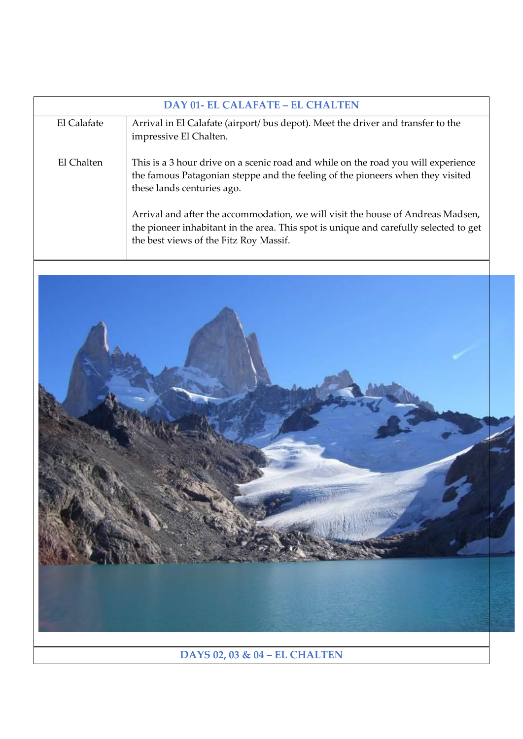| <b>DAY 01- EL CALAFATE – EL CHALTEN</b> |                                                                                                                                                                                                                    |  |
|-----------------------------------------|--------------------------------------------------------------------------------------------------------------------------------------------------------------------------------------------------------------------|--|
| El Calafate                             | Arrival in El Calafate (airport/ bus depot). Meet the driver and transfer to the<br>impressive El Chalten.                                                                                                         |  |
| El Chalten                              | This is a 3 hour drive on a scenic road and while on the road you will experience<br>the famous Patagonian steppe and the feeling of the pioneers when they visited<br>these lands centuries ago.                  |  |
|                                         | Arrival and after the accommodation, we will visit the house of Andreas Madsen,<br>the pioneer inhabitant in the area. This spot is unique and carefully selected to get<br>the best views of the Fitz Roy Massif. |  |



**DAYS 02, 03 & 04 – EL CHALTEN**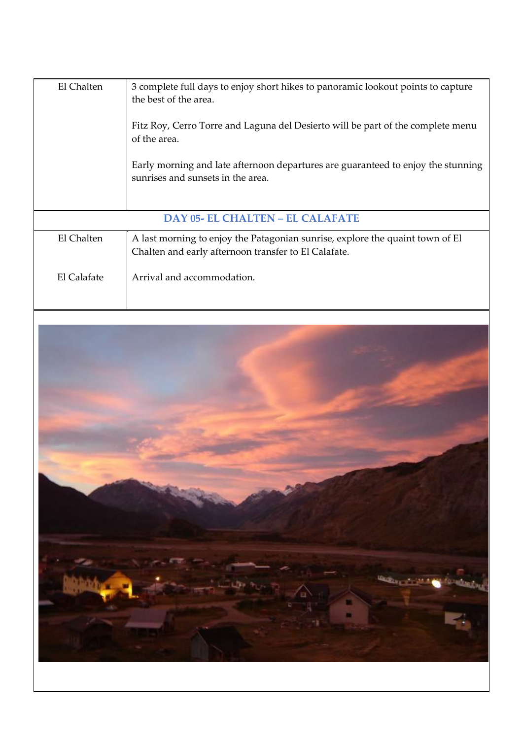| El Chalten                              | 3 complete full days to enjoy short hikes to panoramic lookout points to capture<br>the best of the area.<br>Fitz Roy, Cerro Torre and Laguna del Desierto will be part of the complete menu<br>of the area.<br>Early morning and late afternoon departures are guaranteed to enjoy the stunning<br>sunrises and sunsets in the area. |
|-----------------------------------------|---------------------------------------------------------------------------------------------------------------------------------------------------------------------------------------------------------------------------------------------------------------------------------------------------------------------------------------|
|                                         |                                                                                                                                                                                                                                                                                                                                       |
| <b>DAY 05- EL CHALTEN – EL CALAFATE</b> |                                                                                                                                                                                                                                                                                                                                       |
| El Chalten                              | A last morning to enjoy the Patagonian sunrise, explore the quaint town of El<br>Chalten and early afternoon transfer to El Calafate.                                                                                                                                                                                                 |
| El Calafate                             | Arrival and accommodation.                                                                                                                                                                                                                                                                                                            |

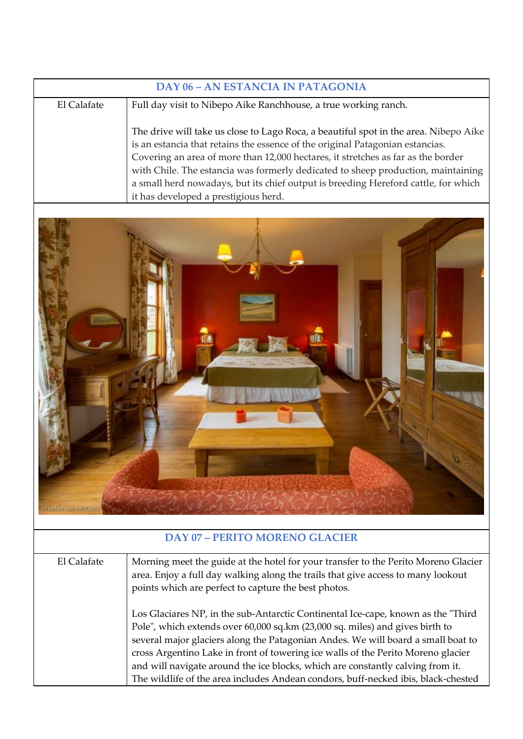| <b>DAY 06 - AN ESTANCIA IN PATAGONIA</b> |                                                                                                                                                                                                                                                                                                                                                                                                                                                                             |  |
|------------------------------------------|-----------------------------------------------------------------------------------------------------------------------------------------------------------------------------------------------------------------------------------------------------------------------------------------------------------------------------------------------------------------------------------------------------------------------------------------------------------------------------|--|
| El Calafate                              | Full day visit to Nibepo Aike Ranchhouse, a true working ranch.                                                                                                                                                                                                                                                                                                                                                                                                             |  |
|                                          | The drive will take us close to Lago Roca, a beautiful spot in the area. Nibepo Aike<br>is an estancia that retains the essence of the original Patagonian estancias.<br>Covering an area of more than 12,000 hectares, it stretches as far as the border<br>with Chile. The estancia was formerly dedicated to sheep production, maintaining<br>a small herd nowadays, but its chief output is breeding Hereford cattle, for which<br>it has developed a prestigious herd. |  |



## **DAY 07 – PERITO MORENO GLACIER**

El Calafate Morning meet the guide at the hotel for your transfer to the Perito Moreno Glacier area. Enjoy a full day walking along the trails that give access to many lookout points which are perfect to capture the best photos. Los Glaciares NP, in the sub-Antarctic Continental Ice-cape, known as the "Third Pole", which extends over 60,000 sq.km (23,000 sq. miles) and gives birth to several major glaciers along the Patagonian Andes. We will board a small boat to cross Argentino Lake in front of towering ice walls of the Perito Moreno glacier and will navigate around the ice blocks, which are constantly calving from it. The wildlife of the area includes Andean condors, buff-necked ibis, black-chested